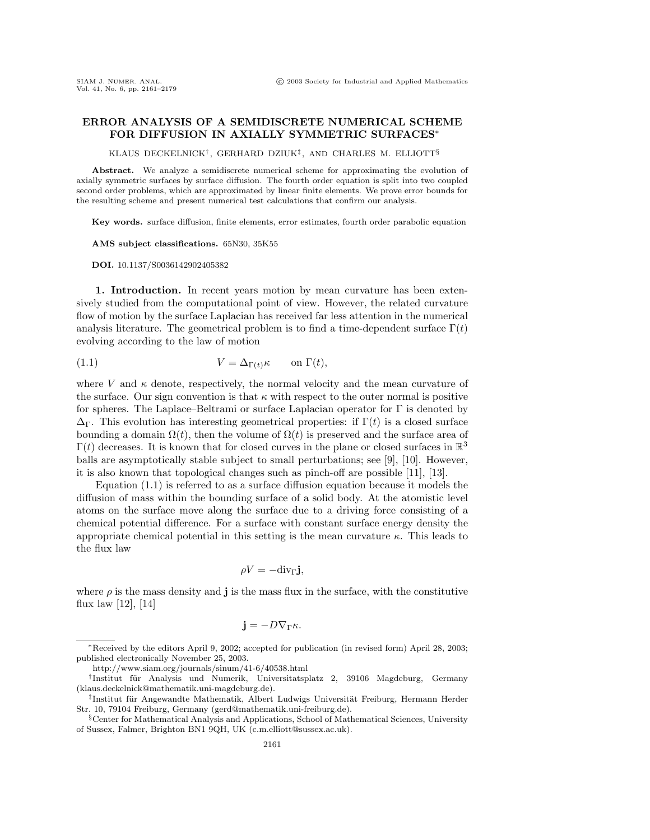## **ERROR ANALYSIS OF A SEMIDISCRETE NUMERICAL SCHEME FOR DIFFUSION IN AXIALLY SYMMETRIC SURFACES**∗

KLAUS DECKELNICK†, GERHARD DZIUK‡, AND CHARLES M. ELLIOTT§

**Abstract.** We analyze a semidiscrete numerical scheme for approximating the evolution of axially symmetric surfaces by surface diffusion. The fourth order equation is split into two coupled second order problems, which are approximated by linear finite elements. We prove error bounds for the resulting scheme and present numerical test calculations that confirm our analysis.

**Key words.** surface diffusion, finite elements, error estimates, fourth order parabolic equation

**AMS subject classifications.** 65N30, 35K55

**DOI.** 10.1137/S0036142902405382

**1. Introduction.** In recent years motion by mean curvature has been extensively studied from the computational point of view. However, the related curvature flow of motion by the surface Laplacian has received far less attention in the numerical analysis literature. The geometrical problem is to find a time-dependent surface  $\Gamma(t)$ evolving according to the law of motion

(1.1) 
$$
V = \Delta_{\Gamma(t)} \kappa \quad \text{on } \Gamma(t),
$$

where V and  $\kappa$  denote, respectively, the normal velocity and the mean curvature of the surface. Our sign convention is that  $\kappa$  with respect to the outer normal is positive for spheres. The Laplace–Beltrami or surface Laplacian operator for  $\Gamma$  is denoted by  $\Delta_{\Gamma}$ . This evolution has interesting geometrical properties: if  $\Gamma(t)$  is a closed surface bounding a domain  $\Omega(t)$ , then the volume of  $\Omega(t)$  is preserved and the surface area of  $\Gamma(t)$  decreases. It is known that for closed curves in the plane or closed surfaces in  $\mathbb{R}^3$ balls are asymptotically stable subject to small perturbations; see [9], [10]. However, it is also known that topological changes such as pinch-off are possible [11], [13].

Equation (1.1) is referred to as a surface diffusion equation because it models the diffusion of mass within the bounding surface of a solid body. At the atomistic level atoms on the surface move along the surface due to a driving force consisting of a chemical potential difference. For a surface with constant surface energy density the appropriate chemical potential in this setting is the mean curvature  $\kappa$ . This leads to the flux law

$$
\rho V = -\mathrm{div}_{\Gamma} \mathbf{j},
$$

where  $\rho$  is the mass density and **j** is the mass flux in the surface, with the constitutive flux law  $[12]$ ,  $[14]$ 

$$
\mathbf{j} = -D\nabla_{\Gamma}\kappa.
$$

<sup>∗</sup>Received by the editors April 9, 2002; accepted for publication (in revised form) April 28, 2003; published electronically November 25, 2003.

http://www.siam.org/journals/sinum/41-6/40538.html

<sup>†</sup>Institut f¨ur Analysis und Numerik, Universitatsplatz 2, 39106 Magdeburg, Germany (klaus.deckelnick@mathematik.uni-magdeburg.de).

<sup>‡</sup>Institut für Angewandte Mathematik, Albert Ludwigs Universität Freiburg, Hermann Herder Str. 10, 79104 Freiburg, Germany (gerd@mathematik.uni-freiburg.de).

 $\S$ Center for Mathematical Analysis and Applications, School of Mathematical Sciences, University of Sussex, Falmer, Brighton BN1 9QH, UK (c.m.elliott@sussex.ac.uk).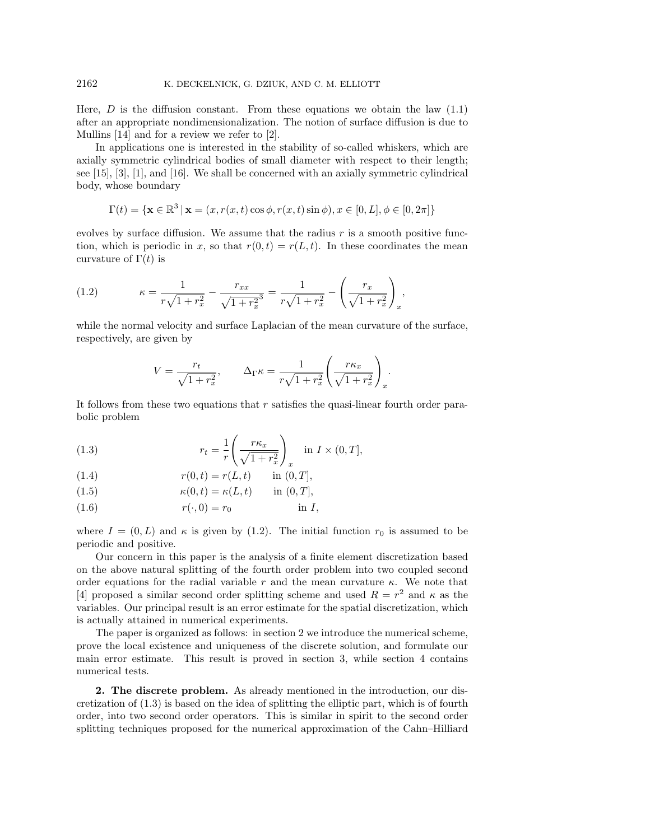Here,  $D$  is the diffusion constant. From these equations we obtain the law  $(1.1)$ after an appropriate nondimensionalization. The notion of surface diffusion is due to Mullins [14] and for a review we refer to [2].

In applications one is interested in the stability of so-called whiskers, which are axially symmetric cylindrical bodies of small diameter with respect to their length; see [15], [3], [1], and [16]. We shall be concerned with an axially symmetric cylindrical body, whose boundary

$$
\Gamma(t)=\{\mathbf{x}\in\mathbb{R}^3\,|\,\mathbf{x}=(x,r(x,t)\cos\phi,r(x,t)\sin\phi),x\in[0,L],\phi\in[0,2\pi]\}
$$

evolves by surface diffusion. We assume that the radius  $r$  is a smooth positive function, which is periodic in x, so that  $r(0,t) = r(L,t)$ . In these coordinates the mean curvature of  $\Gamma(t)$  is

(1.2) 
$$
\kappa = \frac{1}{r\sqrt{1+r_x^2}} - \frac{r_{xx}}{\sqrt{1+r_x^2}} = \frac{1}{r\sqrt{1+r_x^2}} - \left(\frac{r_x}{\sqrt{1+r_x^2}}\right)_x,
$$

while the normal velocity and surface Laplacian of the mean curvature of the surface, respectively, are given by

$$
V = \frac{r_t}{\sqrt{1 + r_x^2}}, \qquad \Delta_{\Gamma} \kappa = \frac{1}{r\sqrt{1 + r_x^2}} \left(\frac{r\kappa_x}{\sqrt{1 + r_x^2}}\right)_x.
$$

It follows from these two equations that r satisfies the quasi-linear fourth order parabolic problem

(1.3) 
$$
r_t = \frac{1}{r} \left( \frac{r\kappa_x}{\sqrt{1+r_x^2}} \right)_x \quad \text{in } I \times (0, T],
$$

(1.4) 
$$
r(0,t) = r(L,t) \quad \text{in } (0,T],
$$

(1.5) 
$$
\kappa(0,t) = \kappa(L,t) \quad \text{in } (0,T],
$$

(1.6) r(·, 0) = r<sup>0</sup> in I,

where  $I = (0, L)$  and  $\kappa$  is given by (1.2). The initial function  $r_0$  is assumed to be periodic and positive.

Our concern in this paper is the analysis of a finite element discretization based on the above natural splitting of the fourth order problem into two coupled second order equations for the radial variable r and the mean curvature  $\kappa$ . We note that [4] proposed a similar second order splitting scheme and used  $R = r^2$  and  $\kappa$  as the variables. Our principal result is an error estimate for the spatial discretization, which is actually attained in numerical experiments.

The paper is organized as follows: in section 2 we introduce the numerical scheme, prove the local existence and uniqueness of the discrete solution, and formulate our main error estimate. This result is proved in section 3, while section 4 contains numerical tests.

**2. The discrete problem.** As already mentioned in the introduction, our discretization of (1.3) is based on the idea of splitting the elliptic part, which is of fourth order, into two second order operators. This is similar in spirit to the second order splitting techniques proposed for the numerical approximation of the Cahn–Hilliard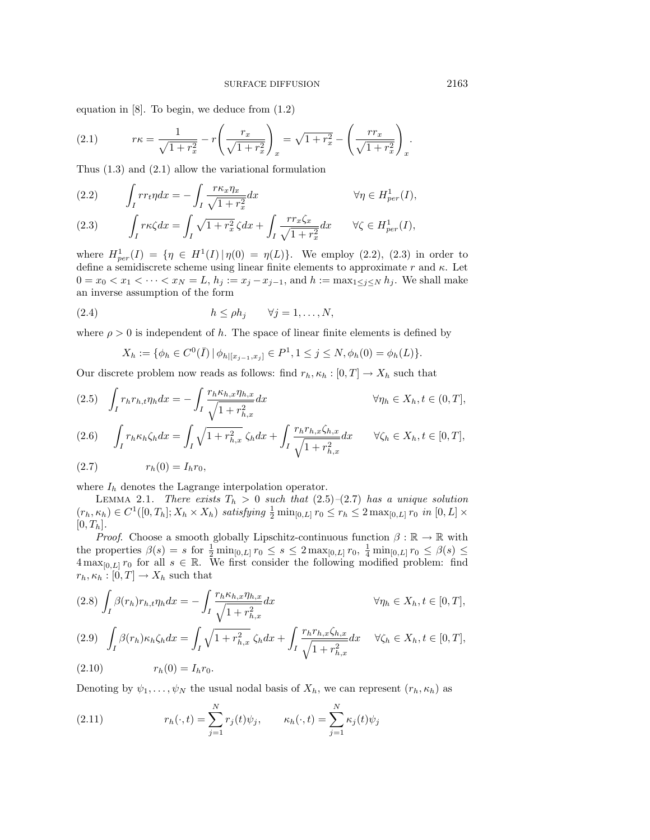equation in [8]. To begin, we deduce from (1.2)

(2.1) 
$$
r\kappa = \frac{1}{\sqrt{1+r_x^2}} - r\left(\frac{r_x}{\sqrt{1+r_x^2}}\right)_x = \sqrt{1+r_x^2} - \left(\frac{rr_x}{\sqrt{1+r_x^2}}\right)_x.
$$

Thus (1.3) and (2.1) allow the variational formulation

(2.2) 
$$
\int_I r r_t \eta dx = -\int_I \frac{r \kappa_x \eta_x}{\sqrt{1 + r_x^2}} dx \qquad \forall \eta \in H_{per}^1(I),
$$

$$
(2.3) \qquad \int_I r\kappa \zeta dx = \int_I \sqrt{1+r_x^2} \zeta dx + \int_I \frac{rr_x \zeta_x}{\sqrt{1+r_x^2}} dx \qquad \forall \zeta \in H_{per}^1(I),
$$

where  $H_{per}^1(I) = \{ \eta \in H^1(I) | \eta(0) = \eta(L) \}.$  We employ (2.2), (2.3) in order to define a semidiscrete scheme using linear finite elements to approximate r and  $\kappa$ . Let  $0 = x_0 < x_1 < \cdots < x_N = L$ ,  $h_j := x_j - x_{j-1}$ , and  $h := \max_{1 \le j \le N} h_j$ . We shall make an inverse assumption of the form

(2.4) 
$$
h \le \rho h_j \qquad \forall j = 1, ..., N,
$$

where  $\rho > 0$  is independent of h. The space of linear finite elements is defined by

$$
X_h := \{ \phi_h \in C^0(\bar{I}) \, | \, \phi_{h|[x_{j-1},x_j]} \in P^1, 1 \le j \le N, \phi_h(0) = \phi_h(L) \}.
$$

Our discrete problem now reads as follows: find  $r_h, \kappa_h : [0, T] \to X_h$  such that

$$
(2.5) \quad \int_{I} r_h r_{h,t} \eta_h dx = -\int_{I} \frac{r_h \kappa_{h,x} \eta_{h,x}}{\sqrt{1 + r_{h,x}^2}} dx \qquad \forall \eta_h \in X_h, t \in (0, T],
$$
\n
$$
(2.6) \quad \int_{I} r_h \kappa_h \zeta_h dx = \int_{I} \sqrt{1 + r_{h,x}^2} \zeta_h dx + \int_{I} \frac{r_h r_{h,x} \zeta_{h,x}}{\sqrt{1 + r_{h,x}^2}} dx \qquad \forall \zeta_h \in X_h, t \in [0, T],
$$

$$
(2.7) \t\t\t rh(0) = Ihr0,
$$

where  $I_h$  denotes the Lagrange interpolation operator.

LEMMA 2.1. There exists  $T_h > 0$  such that  $(2.5)-(2.7)$  has a unique solution  $(r_h, \kappa_h) \in C^1([0, T_h]; X_h \times X_h)$  satisfying  $\frac{1}{2} \min_{[0, L]} r_0 \le r_h \le 2 \max_{[0, L]} r_0$  in  $[0, L] \times$  $[0, T_h].$ 

*Proof.* Choose a smooth globally Lipschitz-continuous function  $\beta : \mathbb{R} \to \mathbb{R}$  with the properties  $\beta(s) = s$  for  $\frac{1}{2} \min_{[0,L]} r_0 \leq s \leq 2 \max_{[0,L]} r_0, \frac{1}{4} \min_{[0,L]} r_0 \leq \beta(s) \leq$  $4 \max_{[0,L]} r_0$  for all  $s \in \mathbb{R}$ . We first consider the following modified problem: find  $r_h, \kappa_h : [0, T] \to X_h$  such that

$$
(2.8)\int_{I} \beta(r_h)r_{h,t}\eta_h dx = -\int_{I} \frac{r_h \kappa_{h,x}\eta_{h,x}}{\sqrt{1+r_{h,x}^2}} dx \qquad \forall \eta_h \in X_h, t \in [0,T],
$$

$$
(2.9) \quad \int_{I} \beta(r_h) \kappa_h \zeta_h dx = \int_{I} \sqrt{1 + r_{h,x}^2} \zeta_h dx + \int_{I} \frac{r_h r_{h,x} \zeta_{h,x}}{\sqrt{1 + r_{h,x}^2}} dx \quad \forall \zeta_h \in X_h, t \in [0, T],
$$

(2.10) 
$$
r_h(0) = I_h r_0.
$$

Denoting by  $\psi_1,\ldots,\psi_N$  the usual nodal basis of  $X_h$ , we can represent  $(r_h, \kappa_h)$  as

(2.11) 
$$
r_h(\cdot, t) = \sum_{j=1}^N r_j(t)\psi_j, \qquad \kappa_h(\cdot, t) = \sum_{j=1}^N \kappa_j(t)\psi_j
$$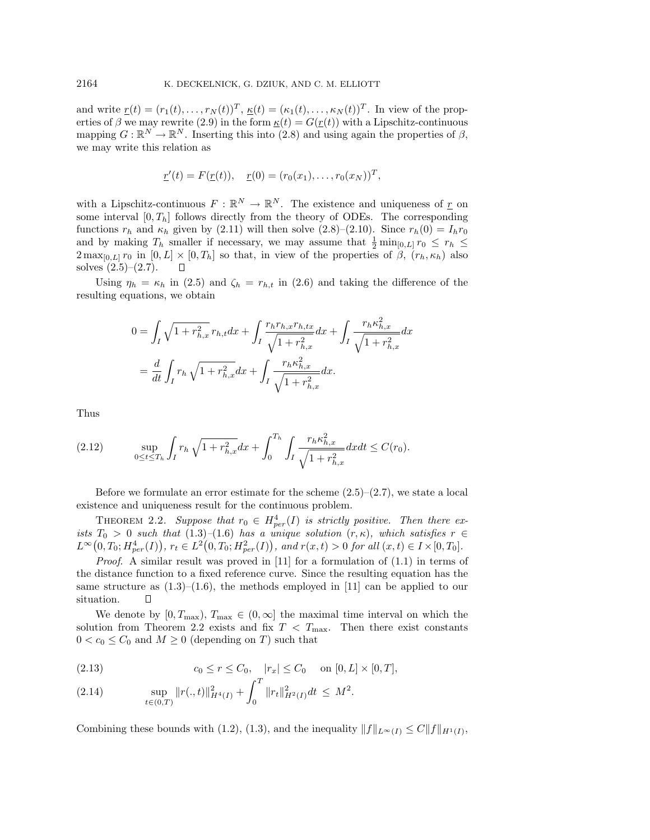and write  $\underline{r}(t)=(r_1(t),\ldots,r_N(t))^T,$   $\underline{\kappa}(t)=(\kappa_1(t),\ldots,\kappa_N(t))^T$ . In view of the properties of β we may rewrite (2.9) in the form  $\underline{\kappa}(t) = G(\underline{r}(t))$  with a Lipschitz-continuous mapping  $G: \mathbb{R}^N \to \mathbb{R}^N$ . Inserting this into (2.8) and using again the properties of  $\beta$ , we may write this relation as

$$
\underline{r}'(t) = F(\underline{r}(t)), \quad \underline{r}(0) = (r_0(x_1), \ldots, r_0(x_N))^T,
$$

with a Lipschitz-continuous  $F : \mathbb{R}^N \to \mathbb{R}^N$ . The existence and uniqueness of r on some interval  $[0, T_h]$  follows directly from the theory of ODEs. The corresponding functions  $r_h$  and  $\kappa_h$  given by (2.11) will then solve (2.8)–(2.10). Since  $r_h(0) = I_h r_0$ and by making  $T_h$  smaller if necessary, we may assume that  $\frac{1}{2} \min_{[0,L]} r_0 \leq r_h \leq$  $2 \max_{[0,L]} r_0$  in  $[0,L] \times [0,T_h]$  so that, in view of the properties of  $\beta$ ,  $(r_h, \kappa_h)$  also solves  $(2.5)$ – $(2.7)$ .

Using  $\eta_h = \kappa_h$  in (2.5) and  $\zeta_h = r_{h,t}$  in (2.6) and taking the difference of the resulting equations, we obtain

$$
0 = \int_{I} \sqrt{1 + r_{h,x}^{2}} r_{h,t} dx + \int_{I} \frac{r_{h} r_{h,x} r_{h,tx}}{\sqrt{1 + r_{h,x}^{2}}} dx + \int_{I} \frac{r_{h} \kappa_{h,x}^{2}}{\sqrt{1 + r_{h,x}^{2}}} dx
$$
  
=  $\frac{d}{dt} \int_{I} r_{h} \sqrt{1 + r_{h,x}^{2}} dx + \int_{I} \frac{r_{h} \kappa_{h,x}^{2}}{\sqrt{1 + r_{h,x}^{2}}} dx.$ 

Thus

$$
(2.12) \qquad \sup_{0\leq t\leq T_h}\int_I r_h \sqrt{1+r_{h,x}^2}dx + \int_0^{T_h}\int_I \frac{r_h \kappa_{h,x}^2}{\sqrt{1+r_{h,x}^2}}dxdt \leq C(r_0).
$$

Before we formulate an error estimate for the scheme  $(2.5)$ – $(2.7)$ , we state a local existence and uniqueness result for the continuous problem.

THEOREM 2.2. Suppose that  $r_0 \in H^4_{per}(I)$  is strictly positive. Then there exists  $T_0 > 0$  such that  $(1.3)$ – $(1.6)$  has a unique solution  $(r, \kappa)$ , which satisfies  $r \in$  $L^{\infty}(0,T_0; H_{per}^4(I)), r_t \in L^2(0,T_0; H_{per}^2(I)),$  and  $r(x,t) > 0$  for all  $(x,t) \in I \times [0,T_0].$ 

*Proof.* A similar result was proved in [11] for a formulation of  $(1.1)$  in terms of the distance function to a fixed reference curve. Since the resulting equation has the same structure as  $(1.3)$ – $(1.6)$ , the methods employed in [11] can be applied to our situation.

We denote by  $[0, T_{\text{max}}), T_{\text{max}} \in (0, \infty]$  the maximal time interval on which the solution from Theorem 2.2 exists and fix  $T < T_{\text{max}}$ . Then there exist constants  $0 < c_0 \leq C_0$  and  $M \geq 0$  (depending on T) such that

(2.13) 
$$
c_0 \le r \le C_0, \quad |r_x| \le C_0 \quad \text{on } [0, L] \times [0, T],
$$

$$
(2.14) \t\t \sup_{t\in(0,T)} \|r(.,t)\|_{H^4(I)}^2 + \int_0^1 \|r_t\|_{H^2(I)}^2 dt \leq M^2.
$$

Combining these bounds with (1.2), (1.3), and the inequality  $||f||_{L^{\infty}(I)} \leq C||f||_{H^1(I)}$ ,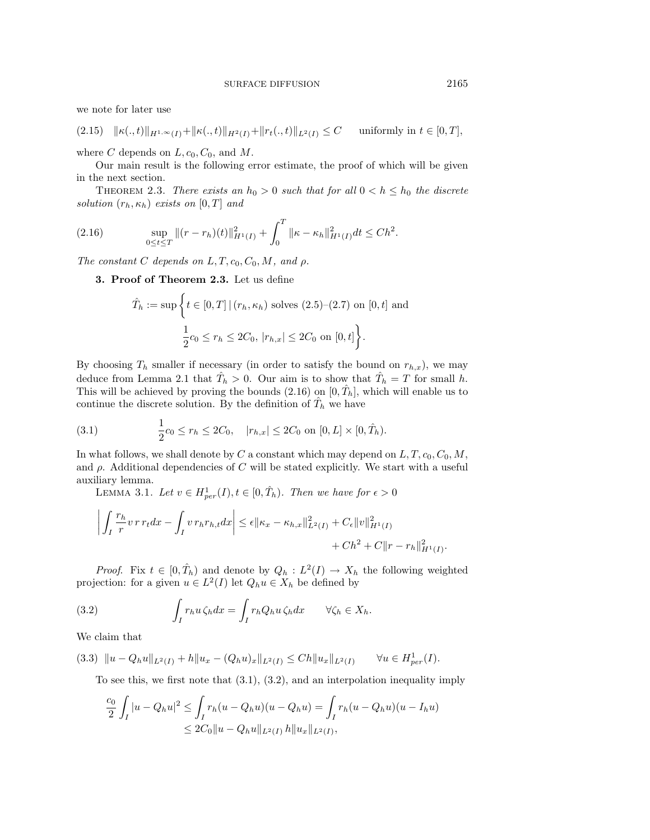we note for later use

$$
(2.15) \quad ||\kappa(.,t)||_{H^{1,\infty}(I)} + ||\kappa(.,t)||_{H^2(I)} + ||r_t(.,t)||_{L^2(I)} \leq C \quad \text{ uniformly in } t \in [0,T],
$$

where C depends on  $L, c_0, C_0$ , and M.

Our main result is the following error estimate, the proof of which will be given in the next section.

THEOREM 2.3. There exists an  $h_0 > 0$  such that for all  $0 < h \leq h_0$  the discrete solution  $(r_h, \kappa_h)$  exists on  $[0, T]$  and

(2.16) 
$$
\sup_{0 \le t \le T} \|(r - r_h)(t)\|_{H^1(I)}^2 + \int_0^T \|\kappa - \kappa_h\|_{H^1(I)}^2 dt \le C h^2.
$$

The constant C depends on  $L, T, c_0, C_0, M$ , and  $\rho$ .

**3. Proof of Theorem 2.3.** Let us define

$$
\hat{T}_h := \sup \left\{ t \in [0, T] \, | \, (r_h, \kappa_h) \text{ solves } (2.5) - (2.7) \text{ on } [0, t] \text{ and} \right\}
$$

$$
\frac{1}{2} c_0 \le r_h \le 2C_0, |r_{h,x}| \le 2C_0 \text{ on } [0, t] \right\}.
$$

By choosing  $T_h$  smaller if necessary (in order to satisfy the bound on  $r_{h,x}$ ), we may deduce from Lemma 2.1 that  $\hat{T}_h > 0$ . Our aim is to show that  $\hat{T}_h = T$  for small h. This will be achieved by proving the bounds  $(2.16)$  on  $[0, \hat{T}_h]$ , which will enable us to continue the discrete solution. By the definition of  $\hat{T}_h$  we have

(3.1) 
$$
\frac{1}{2}c_0 \leq r_h \leq 2C_0, \quad |r_{h,x}| \leq 2C_0 \text{ on } [0,L] \times [0,\hat{T}_h).
$$

In what follows, we shall denote by C a constant which may depend on  $L, T, c_0, C_0, M$ , and  $\rho$ . Additional dependencies of C will be stated explicitly. We start with a useful auxiliary lemma.

LEMMA 3.1. Let  $v \in H_{per}^1(I)$ ,  $t \in [0, \hat{T}_h)$ . Then we have for  $\epsilon > 0$ 

$$
\left| \int_{I} \frac{r_h}{r} v \, r \, r_t dx - \int_{I} v \, r_h r_{h,t} dx \right| \leq \epsilon \| \kappa_x - \kappa_{h,x} \|^2_{L^2(I)} + C_{\epsilon} \| v \|^2_{H^1(I)} + Ch^2 + C \| r - r_h \|^2_{H^1(I)}.
$$

*Proof.* Fix  $t \in [0, \hat{T}_h)$  and denote by  $Q_h : L^2(I) \to X_h$  the following weighted projection: for a given  $u \in L^2(I)$  let  $Q_h u \in X_h$  be defined by

(3.2) 
$$
\int_I r_h u \zeta_h dx = \int_I r_h Q_h u \zeta_h dx \qquad \forall \zeta_h \in X_h.
$$

We claim that

$$
(3.3) \quad \|u - Q_h u\|_{L^2(I)} + h\|u_x - (Q_h u)_x\|_{L^2(I)} \le Ch \|u_x\|_{L^2(I)} \qquad \forall u \in H^1_{per}(I).
$$

To see this, we first note that  $(3.1)$ ,  $(3.2)$ , and an interpolation inequality imply

$$
\frac{c_0}{2} \int_I |u - Q_h u|^2 \le \int_I r_h (u - Q_h u)(u - Q_h u) = \int_I r_h (u - Q_h u)(u - I_h u)
$$
  

$$
\le 2C_0 \|u - Q_h u\|_{L^2(I)} h \|u_x\|_{L^2(I)},
$$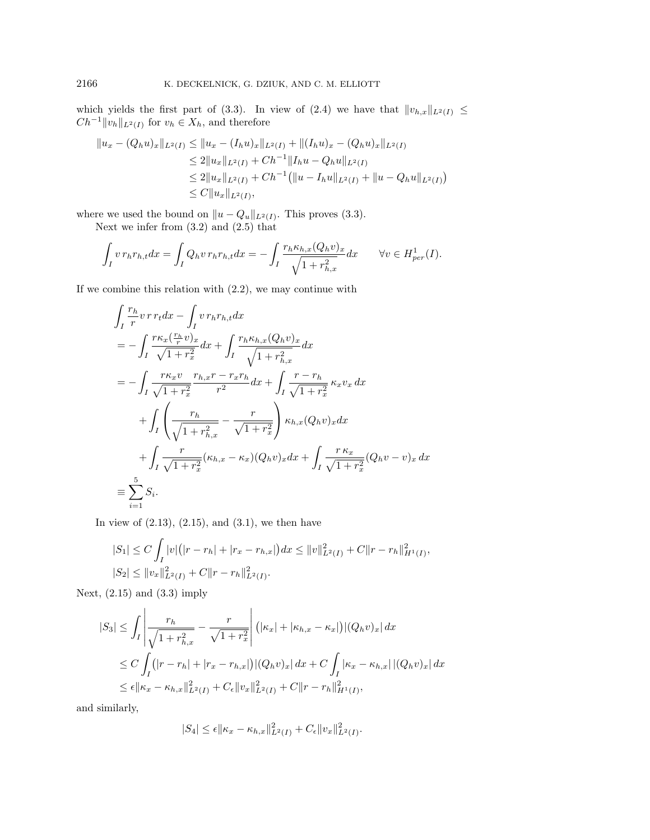which yields the first part of (3.3). In view of (2.4) we have that  $||v_{h,x}||_{L^2(I)} \le$  $Ch^{-1}||v_h||_{L^2(I)}$  for  $v_h \in X_h$ , and therefore

$$
||u_x - (Q_h u)_x||_{L^2(I)} \le ||u_x - (I_h u)_x||_{L^2(I)} + ||(I_h u)_x - (Q_h u)_x||_{L^2(I)}
$$
  
\n
$$
\le 2||u_x||_{L^2(I)} + Ch^{-1}||I_h u - Q_h u||_{L^2(I)}
$$
  
\n
$$
\le 2||u_x||_{L^2(I)} + Ch^{-1} (||u - I_h u||_{L^2(I)} + ||u - Q_h u||_{L^2(I)})
$$
  
\n
$$
\le C||u_x||_{L^2(I)},
$$

where we used the bound on  $||u - Q_u||_{L^2(I)}$ . This proves (3.3). Next we infer from (3.2) and (2.5) that

$$
\int_I v r_h r_{h,t} dx = \int_I Q_h v r_h r_{h,t} dx = -\int_I \frac{r_h \kappa_{h,x} (Q_h v)_x}{\sqrt{1 + r_{h,x}^2}} dx \qquad \forall v \in H_{per}^1(I).
$$

If we combine this relation with (2.2), we may continue with

$$
\int_{I} \frac{r_{h}}{r} v \, r \, r_{t} dx - \int_{I} v \, r_{h} r_{h,t} dx
$$
\n
$$
= - \int_{I} \frac{r \kappa_{x} (\frac{r_{h}}{r} v)_{x}}{\sqrt{1 + r_{x}^{2}}} dx + \int_{I} \frac{r_{h} \kappa_{h,x} (Q_{h} v)_{x}}{\sqrt{1 + r_{h,x}^{2}}} dx
$$
\n
$$
= - \int_{I} \frac{r \kappa_{x} v}{\sqrt{1 + r_{x}^{2}}} \frac{r_{h,x} r - r_{x} r_{h}}{r^{2}} dx + \int_{I} \frac{r - r_{h}}{\sqrt{1 + r_{x}^{2}}} \kappa_{x} v_{x} dx
$$
\n
$$
+ \int_{I} \left( \frac{r_{h}}{\sqrt{1 + r_{h,x}^{2}}} - \frac{r}{\sqrt{1 + r_{x}^{2}}} \right) \kappa_{h,x} (Q_{h} v)_{x} dx
$$
\n
$$
+ \int_{I} \frac{r}{\sqrt{1 + r_{x}^{2}}} (\kappa_{h,x} - \kappa_{x}) (Q_{h} v)_{x} dx + \int_{I} \frac{r \, \kappa_{x}}{\sqrt{1 + r_{x}^{2}}} (Q_{h} v - v)_{x} dx
$$
\n
$$
\equiv \sum_{i=1}^{5} S_{i}.
$$

In view of  $(2.13)$ ,  $(2.15)$ , and  $(3.1)$ , we then have

$$
|S_1| \le C \int_I |v|(|r - r_h| + |r_x - r_{h,x}|) dx \le ||v||_{L^2(I)}^2 + C||r - r_h||_{H^1(I)}^2,
$$
  

$$
|S_2| \le ||v_x||_{L^2(I)}^2 + C||r - r_h||_{L^2(I)}^2.
$$

Next,  $(2.15)$  and  $(3.3)$  imply

$$
|S_3| \leq \int_I \left| \frac{r_h}{\sqrt{1 + r_{h,x}^2}} - \frac{r}{\sqrt{1 + r_x^2}} \right| (|\kappa_x| + |\kappa_{h,x} - \kappa_x|) |(Q_h v)_x| dx
$$
  
\n
$$
\leq C \int_I (|r - r_h| + |r_x - r_{h,x}|) |(Q_h v)_x| dx + C \int_I |\kappa_x - \kappa_{h,x}| |(Q_h v)_x| dx
$$
  
\n
$$
\leq \epsilon ||\kappa_x - \kappa_{h,x}||_{L^2(I)}^2 + C_{\epsilon} ||v_x||_{L^2(I)}^2 + C ||r - r_h||_{H^1(I)}^2,
$$

and similarly,

$$
|S_4| \leq \epsilon ||\kappa_x - \kappa_{h,x}||^2_{L^2(I)} + C_{\epsilon} ||v_x||^2_{L^2(I)}.
$$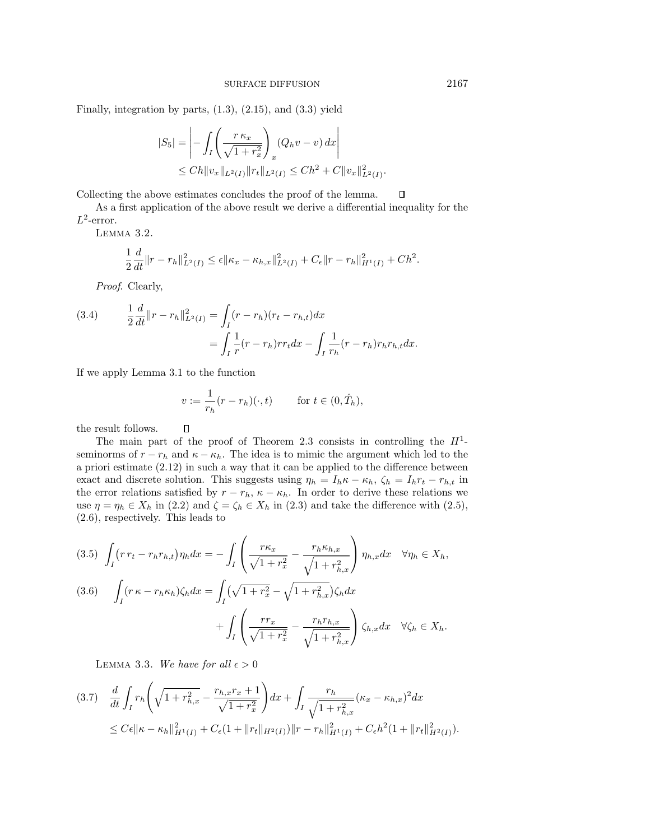Finally, integration by parts,  $(1.3)$ ,  $(2.15)$ , and  $(3.3)$  yield

$$
|S_5| = \left| - \int_I \left( \frac{r \kappa_x}{\sqrt{1 + r_x^2}} \right)_x (Q_h v - v) \, dx \right|
$$
  
\n
$$
\leq C h \|v_x\|_{L^2(I)} \|r_t\|_{L^2(I)} \leq C h^2 + C \|v_x\|_{L^2(I)}^2.
$$

Collecting the above estimates concludes the proof of the lemma.

As a first application of the above result we derive a differential inequality for the  $L^2$ -error.

Lemma 3.2.

$$
\frac{1}{2}\frac{d}{dt}\|r-r_h\|_{L^2(I)}^2 \leq \epsilon \| \kappa_x - \kappa_{h,x} \|_{L^2(I)}^2 + C_{\epsilon} \| r-r_h \|_{H^1(I)}^2 + Ch^2.
$$

Proof. Clearly,

(3.4) 
$$
\frac{1}{2} \frac{d}{dt} ||r - r_h||_{L^2(I)}^2 = \int_I (r - r_h)(r_t - r_{h,t}) dx
$$

$$
= \int_I \frac{1}{r} (r - r_h) r r_t dx - \int_I \frac{1}{r_h} (r - r_h) r_h r_{h,t} dx.
$$

If we apply Lemma 3.1 to the function

$$
v := \frac{1}{r_h}(r - r_h)(\cdot, t) \qquad \text{for } t \in (0, \hat{T}_h),
$$

the result follows.  $\Box$ 

The main part of the proof of Theorem 2.3 consists in controlling the  $H^1$ seminorms of  $r - r_h$  and  $\kappa - \kappa_h$ . The idea is to mimic the argument which led to the a priori estimate (2.12) in such a way that it can be applied to the difference between exact and discrete solution. This suggests using  $\eta_h = I_h \kappa - \kappa_h$ ,  $\zeta_h = I_h r_t - r_{h,t}$  in the error relations satisfied by  $r - r_h$ ,  $\kappa - \kappa_h$ . In order to derive these relations we use  $\eta = \eta_h \in X_h$  in (2.2) and  $\zeta = \zeta_h \in X_h$  in (2.3) and take the difference with (2.5), (2.6), respectively. This leads to

$$
(3.5) \int_{I} (r r_t - r_h r_{h,t}) \eta_h dx = - \int_{I} \left( \frac{r \kappa_x}{\sqrt{1 + r_x^2}} - \frac{r_h \kappa_{h,x}}{\sqrt{1 + r_{h,x}^2}} \right) \eta_{h,x} dx \quad \forall \eta_h \in X_h,
$$
  

$$
(3.6) \int_{I} (r \kappa - r_h \kappa_h) \zeta_h dx = \int_{I} (\sqrt{1 + r_x^2} - \sqrt{1 + r_{h,x}^2}) \zeta_h dx
$$

$$
+ \int_{I} \left( \frac{r r_x}{\sqrt{1 + r_x^2}} - \frac{r_h r_{h,x}}{\sqrt{1 + r_{h,x}^2}} \right) \zeta_{h,x} dx \quad \forall \zeta_h \in X_h.
$$

LEMMA 3.3. We have for all  $\epsilon > 0$ 

$$
(3.7) \frac{d}{dt} \int_{I} r_{h} \left( \sqrt{1 + r_{h,x}^{2}} - \frac{r_{h,x}r_{x} + 1}{\sqrt{1 + r_{x}^{2}}} \right) dx + \int_{I} \frac{r_{h}}{\sqrt{1 + r_{h,x}^{2}}} (\kappa_{x} - \kappa_{h,x})^{2} dx
$$
  

$$
\leq C\epsilon \|\kappa - \kappa_{h}\|_{H^{1}(I)}^{2} + C\epsilon (1 + \|r_{t}\|_{H^{2}(I)}) \|r - r_{h}\|_{H^{1}(I)}^{2} + C\epsilon h^{2} (1 + \|r_{t}\|_{H^{2}(I)}^{2}).
$$

 $\Box$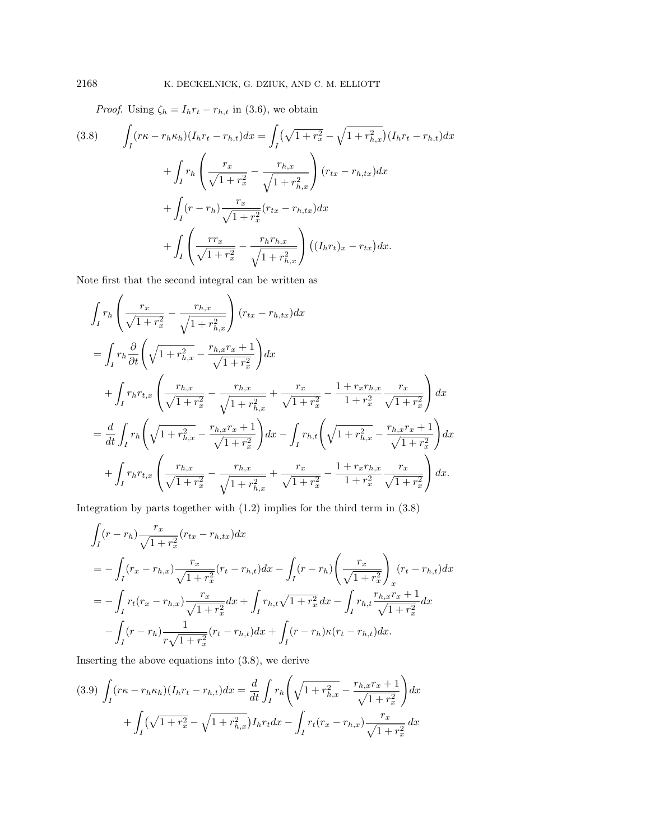*Proof.* Using  $\zeta_h = I_h r_t - r_{h,t}$  in (3.6), we obtain

(3.8) 
$$
\int_{I} (r\kappa - r_h \kappa_h)(I_h r_t - r_{h,t}) dx = \int_{I} (\sqrt{1 + r_x^2} - \sqrt{1 + r_{h,x}^2})(I_h r_t - r_{h,t}) dx \n+ \int_{I} r_h \left( \frac{r_x}{\sqrt{1 + r_x^2}} - \frac{r_{h,x}}{\sqrt{1 + r_{h,x}^2}} \right) (r_{tx} - r_{h,tx}) dx \n+ \int_{I} (r - r_h) \frac{r_x}{\sqrt{1 + r_x^2}} (r_{tx} - r_{h,tx}) dx \n+ \int_{I} \left( \frac{r r_x}{\sqrt{1 + r_x^2}} - \frac{r_h r_{h,x}}{\sqrt{1 + r_{h,x}^2}} \right) ((I_h r_t)_x - r_{tx}) dx.
$$

Note first that the second integral can be written as

$$
\int_{I} r_{h} \left( \frac{r_{x}}{\sqrt{1 + r_{x}^{2}}} - \frac{r_{h,x}}{\sqrt{1 + r_{h,x}^{2}}} \right) (r_{tx} - r_{h,tx}) dx
$$
\n
$$
= \int_{I} r_{h} \frac{\partial}{\partial t} \left( \sqrt{1 + r_{h,x}^{2}} - \frac{r_{h,x}r_{x} + 1}{\sqrt{1 + r_{x}^{2}}} \right) dx
$$
\n
$$
+ \int_{I} r_{h} r_{t,x} \left( \frac{r_{h,x}}{\sqrt{1 + r_{x}^{2}}} - \frac{r_{h,x}}{\sqrt{1 + r_{h,x}^{2}}} + \frac{r_{x}}{\sqrt{1 + r_{x}^{2}}} - \frac{1 + r_{x}r_{h,x}}{1 + r_{x}^{2}} \frac{r_{x}}{\sqrt{1 + r_{x}^{2}}} \right) dx
$$
\n
$$
= \frac{d}{dt} \int_{I} r_{h} \left( \sqrt{1 + r_{h,x}^{2}} - \frac{r_{h,x}r_{x} + 1}{\sqrt{1 + r_{x}^{2}}} \right) dx - \int_{I} r_{h,t} \left( \sqrt{1 + r_{h,x}^{2}} - \frac{r_{h,x}r_{x} + 1}{\sqrt{1 + r_{x}^{2}}} \right) dx
$$
\n
$$
+ \int_{I} r_{h} r_{t,x} \left( \frac{r_{h,x}}{\sqrt{1 + r_{x}^{2}}} - \frac{r_{h,x}}{\sqrt{1 + r_{h,x}^{2}}} + \frac{r_{x}}{\sqrt{1 + r_{x}^{2}}} - \frac{1 + r_{x}r_{h,x}}{1 + r_{x}^{2}} \frac{r_{x}}{\sqrt{1 + r_{x}^{2}}} \right) dx.
$$

Integration by parts together with (1.2) implies for the third term in (3.8)

$$
\int_{I} (r - r_h) \frac{r_x}{\sqrt{1 + r_x^2}} (r_{tx} - r_{h,tx}) dx
$$
\n
$$
= - \int_{I} (r_x - r_{h,x}) \frac{r_x}{\sqrt{1 + r_x^2}} (r_t - r_{h,t}) dx - \int_{I} (r - r_h) \left( \frac{r_x}{\sqrt{1 + r_x^2}} \right)_{x} (r_t - r_{h,t}) dx
$$
\n
$$
= - \int_{I} r_t (r_x - r_{h,x}) \frac{r_x}{\sqrt{1 + r_x^2}} dx + \int_{I} r_{h,t} \sqrt{1 + r_x^2} dx - \int_{I} r_{h,t} \frac{r_{h,x} r_x + 1}{\sqrt{1 + r_x^2}} dx
$$
\n
$$
- \int_{I} (r - r_h) \frac{1}{r \sqrt{1 + r_x^2}} (r_t - r_{h,t}) dx + \int_{I} (r - r_h) \kappa (r_t - r_{h,t}) dx.
$$

Inserting the above equations into (3.8), we derive

$$
(3.9) \int_{I} (r\kappa - r_h \kappa_h)(I_h r_t - r_{h,t}) dx = \frac{d}{dt} \int_{I} r_h \left( \sqrt{1 + r_{h,x}^2} - \frac{r_{h,x} r_x + 1}{\sqrt{1 + r_x^2}} \right) dx
$$

$$
+ \int_{I} (\sqrt{1 + r_x^2} - \sqrt{1 + r_{h,x}^2}) I_h r_t dx - \int_{I} r_t (r_x - r_{h,x}) \frac{r_x}{\sqrt{1 + r_x^2}} dx
$$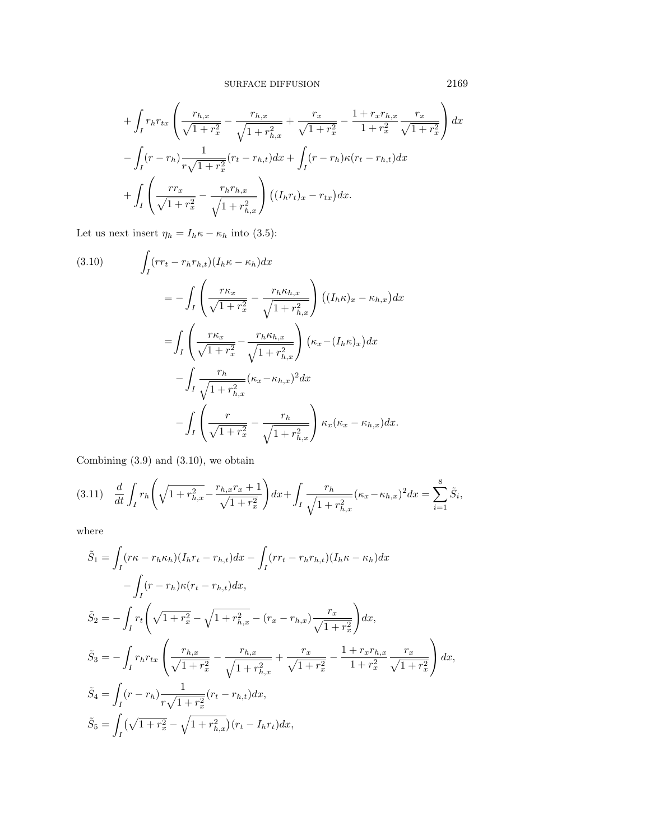$$
+\int_{I} r_{h} r_{tx} \left( \frac{r_{h,x}}{\sqrt{1+r_{x}^{2}}} - \frac{r_{h,x}}{\sqrt{1+r_{h,x}^{2}}} + \frac{r_{x}}{\sqrt{1+r_{x}^{2}}} - \frac{1+r_{x}r_{h,x}}{1+r_{x}^{2}} \frac{r_{x}}{\sqrt{1+r_{x}^{2}}} \right) dx
$$

$$
-\int_{I} (r-r_{h}) \frac{1}{r\sqrt{1+r_{x}^{2}}} (r_{t}-r_{h,t}) dx + \int_{I} (r-r_{h}) \kappa (r_{t}-r_{h,t}) dx
$$

$$
+\int_{I} \left( \frac{rr_{x}}{\sqrt{1+r_{x}^{2}}} - \frac{r_{h}r_{h,x}}{\sqrt{1+r_{h,x}^{2}}} \right) ((I_{h}r_{t})_{x} - r_{tx}) dx.
$$

Let us next insert  $\eta_h = I_h \kappa - \kappa_h$  into (3.5):

(3.10) 
$$
\int_{I} (rr_{t} - r_{h}r_{h,t}) (I_{h}\kappa - \kappa_{h}) dx
$$

$$
= - \int_{I} \left( \frac{r\kappa_{x}}{\sqrt{1 + r_{x}^{2}}} - \frac{r_{h}\kappa_{h,x}}{\sqrt{1 + r_{h,x}^{2}}} \right) ((I_{h}\kappa_{x} - \kappa_{h,x}) dx
$$

$$
= \int_{I} \left( \frac{r\kappa_{x}}{\sqrt{1 + r_{x}^{2}}} - \frac{r_{h}\kappa_{h,x}}{\sqrt{1 + r_{h,x}^{2}}} \right) (\kappa_{x} - (I_{h}\kappa_{x})) dx
$$

$$
- \int_{I} \frac{r_{h}}{\sqrt{1 + r_{h,x}^{2}}} (\kappa_{x} - \kappa_{h,x})^{2} dx
$$

$$
- \int_{I} \left( \frac{r}{\sqrt{1 + r_{x}^{2}}} - \frac{r_{h}}{\sqrt{1 + r_{h,x}^{2}}} \right) \kappa_{x} (\kappa_{x} - \kappa_{h,x}) dx.
$$

Combining (3.9) and (3.10), we obtain

$$
(3.11) \quad \frac{d}{dt} \int_{I} r_{h} \left( \sqrt{1 + r_{h,x}^{2}} - \frac{r_{h,x}r_{x} + 1}{\sqrt{1 + r_{x}^{2}}} \right) dx + \int_{I} \frac{r_{h}}{\sqrt{1 + r_{h,x}^{2}}} (\kappa_{x} - \kappa_{h,x})^{2} dx = \sum_{i=1}^{8} \tilde{S}_{i},
$$

where

$$
\tilde{S}_1 = \int_I (r\kappa - r_h \kappa_h)(I_h r_t - r_{h,t}) dx - \int_I (r r_t - r_h r_{h,t})(I_h \kappa - \kappa_h) dx \n- \int_I (r - r_h)\kappa (r_t - r_{h,t}) dx, \n\tilde{S}_2 = - \int_I r_t \left( \sqrt{1 + r_x^2} - \sqrt{1 + r_{h,x}^2} - (r_x - r_{h,x}) \frac{r_x}{\sqrt{1 + r_x^2}} \right) dx, \n\tilde{S}_3 = - \int_I r_h r_{tx} \left( \frac{r_{h,x}}{\sqrt{1 + r_x^2}} - \frac{r_{h,x}}{\sqrt{1 + r_{h,x}^2}} + \frac{r_x}{\sqrt{1 + r_x^2}} - \frac{1 + r_x r_{h,x}}{1 + r_x^2} \frac{r_x}{\sqrt{1 + r_x^2}} \right) dx, \n\tilde{S}_4 = \int_I (r - r_h) \frac{1}{r\sqrt{1 + r_x^2}} (r_t - r_{h,t}) dx, \n\tilde{S}_5 = \int_I (\sqrt{1 + r_x^2} - \sqrt{1 + r_{h,x}^2}) (r_t - I_h r_t) dx,
$$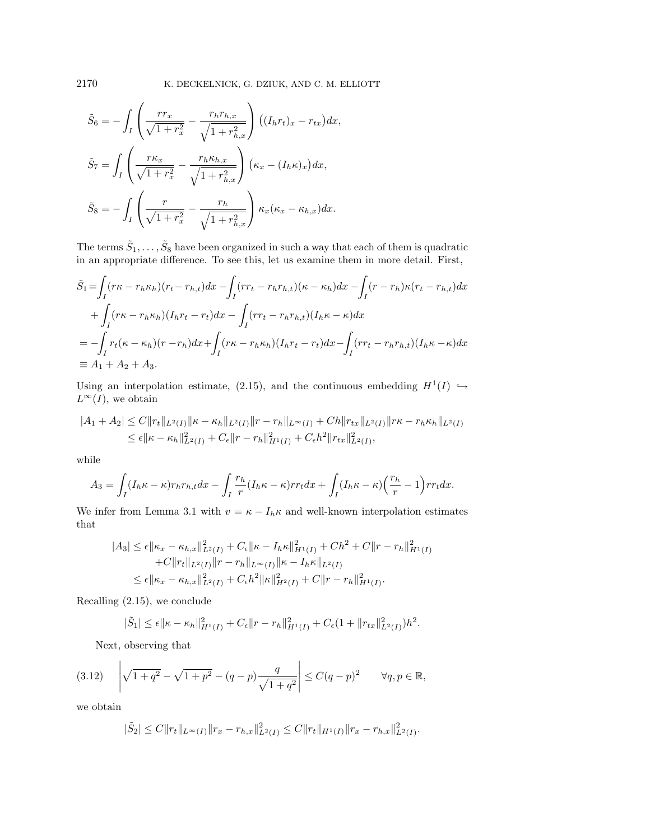$$
\tilde{S}_6 = -\int_I \left( \frac{rr_x}{\sqrt{1+r_x^2}} - \frac{r_h r_{h,x}}{\sqrt{1+r_{h,x}^2}} \right) \left( (I_h r_t)_x - r_{tx} \right) dx,
$$
\n
$$
\tilde{S}_7 = \int_I \left( \frac{r \kappa_x}{\sqrt{1+r_x^2}} - \frac{r_h \kappa_{h,x}}{\sqrt{1+r_{h,x}^2}} \right) \left( \kappa_x - (I_h \kappa)_x \right) dx,
$$
\n
$$
\tilde{S}_8 = -\int_I \left( \frac{r}{\sqrt{1+r_x^2}} - \frac{r_h}{\sqrt{1+r_{h,x}^2}} \right) \kappa_x (\kappa_x - \kappa_{h,x}) dx.
$$

The terms  $\tilde{S}_1,\ldots,\tilde{S}_8$  have been organized in such a way that each of them is quadratic in an appropriate difference. To see this, let us examine them in more detail. First,

$$
\tilde{S}_1 = \int_I (r\kappa - r_h \kappa_h)(r_t - r_{h,t}) dx - \int_I (r r_t - r_h r_{h,t})(\kappa - \kappa_h) dx - \int_I (r - r_h)\kappa(r_t - r_{h,t}) dx
$$
  
+ 
$$
\int_I (r\kappa - r_h \kappa_h)(I_h r_t - r_t) dx - \int_I (r r_t - r_h r_{h,t})(I_h \kappa - \kappa) dx
$$
  
= 
$$
-\int_I r_t (\kappa - \kappa_h)(r - r_h) dx + \int_I (r\kappa - r_h \kappa_h)(I_h r_t - r_t) dx - \int_I (r r_t - r_h r_{h,t})(I_h \kappa - \kappa) dx
$$
  
\equiv A\_1 + A\_2 + A\_3.

Using an interpolation estimate, (2.15), and the continuous embedding  $H^1(I) \hookrightarrow$  $L^\infty(I),$  we obtain

$$
|A_1 + A_2| \le C ||r_t||_{L^2(I)} ||\kappa - \kappa_h||_{L^2(I)} ||r - r_h||_{L^\infty(I)} + Ch||r_{tx}||_{L^2(I)} ||r\kappa - r_h\kappa_h||_{L^2(I)} \le \epsilon ||\kappa - \kappa_h||_{L^2(I)}^2 + C_{\epsilon} ||r - r_h||_{H^1(I)}^2 + C_{\epsilon} h^2 ||r_{tx}||_{L^2(I)}^2,
$$

while

$$
A_3 = \int_I (I_h \kappa - \kappa) r_h r_{h,t} dx - \int_I \frac{r_h}{r} (I_h \kappa - \kappa) r r_t dx + \int_I (I_h \kappa - \kappa) \left(\frac{r_h}{r} - 1\right) r r_t dx.
$$

We infer from Lemma 3.1 with  $v = \kappa - I_h \kappa$  and well-known interpolation estimates that

$$
|A_3| \leq \epsilon ||\kappa_x - \kappa_{h,x}||_{L^2(I)}^2 + C_{\epsilon} ||\kappa - I_h \kappa||_{H^1(I)}^2 + Ch^2 + C ||r - r_h||_{H^1(I)}^2
$$
  
+ 
$$
C ||r_t||_{L^2(I)} ||r - r_h||_{L^\infty(I)} ||\kappa - I_h \kappa||_{L^2(I)}^2
$$
  

$$
\leq \epsilon ||\kappa_x - \kappa_{h,x}||_{L^2(I)}^2 + C_{\epsilon} h^2 ||\kappa||_{H^2(I)}^2 + C ||r - r_h||_{H^1(I)}^2.
$$

Recalling (2.15), we conclude

$$
|\tilde{S}_1| \leq \epsilon ||\kappa - \kappa_h||_{H^1(I)}^2 + C_{\epsilon} ||r - r_h||_{H^1(I)}^2 + C_{\epsilon} (1 + ||r_{tx}||_{L^2(I)}^2) h^2.
$$

Next, observing that

$$
(3.12) \quad \left| \sqrt{1+q^2} - \sqrt{1+p^2} - (q-p)\frac{q}{\sqrt{1+q^2}} \right| \le C(q-p)^2 \qquad \forall q, p \in \mathbb{R},
$$

we obtain

$$
|\tilde{S}_2| \leq C \|r_t\|_{L^{\infty}(I)} \|r_x - r_{h,x}\|_{L^2(I)}^2 \leq C \|r_t\|_{H^1(I)} \|r_x - r_{h,x}\|_{L^2(I)}^2.
$$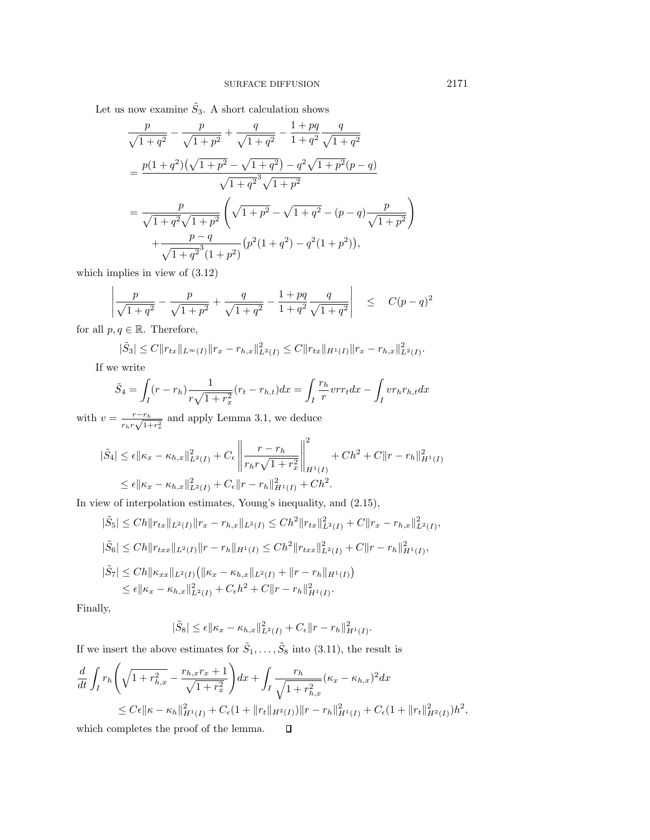Let us now examine  $\tilde{S}_3$ . A short calculation shows

$$
\frac{p}{\sqrt{1+q^2}} - \frac{p}{\sqrt{1+p^2}} + \frac{q}{\sqrt{1+q^2}} - \frac{1+pq}{1+q^2} \frac{q}{\sqrt{1+q^2}}
$$
\n
$$
= \frac{p(1+q^2)(\sqrt{1+p^2} - \sqrt{1+q^2}) - q^2\sqrt{1+p^2}(p-q)}{\sqrt{1+q^2}\sqrt{1+p^2}}
$$
\n
$$
= \frac{p}{\sqrt{1+q^2}\sqrt{1+p^2}} \left(\sqrt{1+p^2} - \sqrt{1+q^2} - (p-q)\frac{p}{\sqrt{1+p^2}}\right)
$$
\n
$$
+ \frac{p-q}{\sqrt{1+q^2}^3(1+p^2)} \left(p^2(1+q^2) - q^2(1+p^2)\right),
$$

which implies in view of (3.12)

$$
\left| \frac{p}{\sqrt{1+q^2}} - \frac{p}{\sqrt{1+p^2}} + \frac{q}{\sqrt{1+q^2}} - \frac{1+pq}{1+q^2} \frac{q}{\sqrt{1+q^2}} \right| \le C(p-q)^2
$$

for all  $p, q \in \mathbb{R}$ . Therefore,

$$
|\tilde{S}_3| \leq C \|r_{tx}\|_{L^{\infty}(I)} \|r_x - r_{h,x}\|_{L^2(I)}^2 \leq C \|r_{tx}\|_{H^1(I)} \|r_x - r_{h,x}\|_{L^2(I)}^2.
$$

If we write

$$
\tilde{S}_4 = \int_I (r - r_h) \frac{1}{r\sqrt{1 + r_x^2}} (r_t - r_{h,t}) dx = \int_I \frac{r_h}{r} v r_t dx - \int_I v r_h r_{h,t} dx
$$

with  $v = \frac{r - r_h}{r_h r \sqrt{1 + r_x^2}}$  and apply Lemma 3.1, we deduce

$$
|\tilde{S}_4| \leq \epsilon ||\kappa_x - \kappa_{h,x}||^2_{L^2(I)} + C_{\epsilon} \left\| \frac{r - r_h}{r_h r \sqrt{1 + r_x^2}} \right\|_{H^1(I)}^2 + Ch^2 + C ||r - r_h||^2_{H^1(I)} \leq \epsilon ||\kappa_x - \kappa_{h,x}||^2_{L^2(I)} + C_{\epsilon} ||r - r_h||^2_{H^1(I)} + Ch^2.
$$

In view of interpolation estimates, Young's inequality, and (2.15),

$$
|\tilde{S}_5| \leq Ch \|r_{tx}\|_{L^2(I)} \|r_x - r_{h,x}\|_{L^2(I)} \leq Ch^2 \|r_{tx}\|_{L^2(I)}^2 + C \|r_x - r_{h,x}\|_{L^2(I)}^2,
$$
  
\n
$$
|\tilde{S}_6| \leq Ch \|r_{txx}\|_{L^2(I)} \|r - r_h\|_{H^1(I)} \leq Ch^2 \|r_{txx}\|_{L^2(I)}^2 + C \|r - r_h\|_{H^1(I)}^2,
$$
  
\n
$$
|\tilde{S}_7| \leq Ch \| \kappa_{xx}\|_{L^2(I)} (\| \kappa_x - \kappa_{h,x}\|_{L^2(I)} + \|r - r_h\|_{H^1(I)})
$$
  
\n
$$
\leq \epsilon \| \kappa_x - \kappa_{h,x}\|_{L^2(I)}^2 + C_{\epsilon} h^2 + C \|r - r_h\|_{H^1(I)}^2.
$$

Finally,

$$
|\tilde{S}_8| \leq \epsilon ||\kappa_x - \kappa_{h,x}||^2_{L^2(I)} + C_{\epsilon} ||r - r_h||^2_{H^1(I)}.
$$

If we insert the above estimates for  $\tilde{S}_1, \ldots, \tilde{S}_8$  into (3.11), the result is

$$
\frac{d}{dt} \int_{I} r_{h} \left( \sqrt{1 + r_{h,x}^{2}} - \frac{r_{h,x}r_{x} + 1}{\sqrt{1 + r_{x}^{2}}} \right) dx + \int_{I} \frac{r_{h}}{\sqrt{1 + r_{h,x}^{2}}} (\kappa_{x} - \kappa_{h,x})^{2} dx
$$
\n
$$
\leq C\epsilon \|\kappa - \kappa_{h}\|_{H^{1}(I)}^{2} + C\epsilon (1 + \|r_{t}\|_{H^{2}(I)}) \|r - r_{h}\|_{H^{1}(I)}^{2} + C\epsilon (1 + \|r_{t}\|_{H^{2}(I)}) h^{2},
$$
\nwhich completes the proof of the lemma.  $\Box$ 

which completes the proof of the lemma.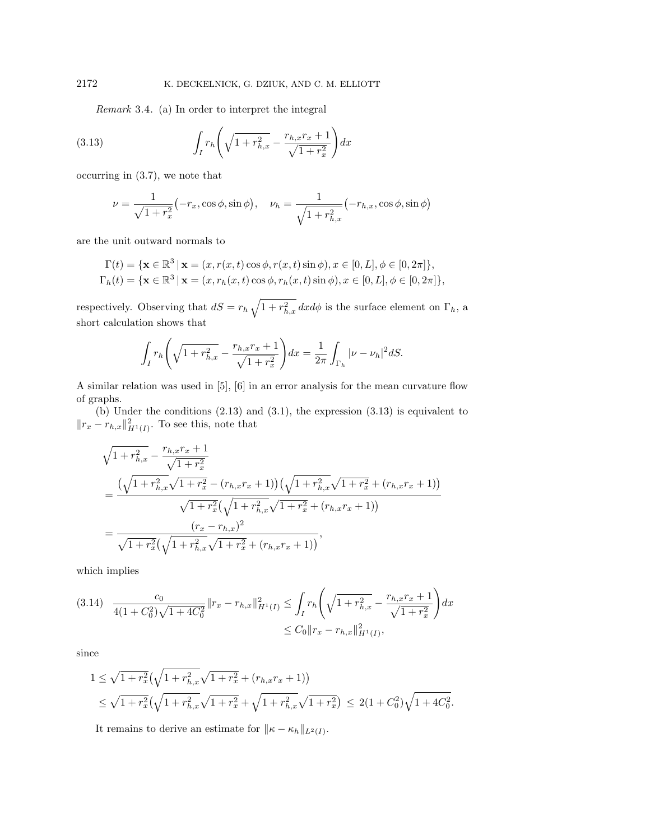Remark 3.4. (a) In order to interpret the integral

(3.13) 
$$
\int_{I} r_{h} \left( \sqrt{1 + r_{h,x}^{2}} - \frac{r_{h,x}r_{x} + 1}{\sqrt{1 + r_{x}^{2}}} \right) dx
$$

occurring in (3.7), we note that

$$
\nu = \frac{1}{\sqrt{1 + r_x^2}} (-r_x, \cos \phi, \sin \phi), \quad \nu_h = \frac{1}{\sqrt{1 + r_{h,x}^2}} (-r_{h,x}, \cos \phi, \sin \phi)
$$

are the unit outward normals to

$$
\Gamma(t) = \{ \mathbf{x} \in \mathbb{R}^3 \mid \mathbf{x} = (x, r(x, t) \cos \phi, r(x, t) \sin \phi), x \in [0, L], \phi \in [0, 2\pi] \},\
$$
  
\n
$$
\Gamma_h(t) = \{ \mathbf{x} \in \mathbb{R}^3 \mid \mathbf{x} = (x, r_h(x, t) \cos \phi, r_h(x, t) \sin \phi), x \in [0, L], \phi \in [0, 2\pi] \},
$$

respectively. Observing that  $dS = r_h \sqrt{1 + r_{h,x}^2} dx d\phi$  is the surface element on  $\Gamma_h$ , a short calculation shows that

$$
\int_I r_h \left( \sqrt{1 + r_{h,x}^2} - \frac{r_{h,x}r_x + 1}{\sqrt{1 + r_x^2}} \right) dx = \frac{1}{2\pi} \int_{\Gamma_h} |\nu - \nu_h|^2 dS.
$$

A similar relation was used in [5], [6] in an error analysis for the mean curvature flow of graphs.

(b) Under the conditions (2.13) and (3.1), the expression (3.13) is equivalent to  $||r_x - r_{h,x}||^2_{H^1(I)}$ . To see this, note that

$$
\sqrt{1 + r_{h,x}^2} - \frac{r_{h,x}r_x + 1}{\sqrt{1 + r_x^2}} \n= \frac{(\sqrt{1 + r_{h,x}^2}\sqrt{1 + r_x^2} - (r_{h,x}r_x + 1))(\sqrt{1 + r_{h,x}^2}\sqrt{1 + r_x^2} + (r_{h,x}r_x + 1))}{\sqrt{1 + r_x^2}(\sqrt{1 + r_{h,x}^2}\sqrt{1 + r_x^2} + (r_{h,x}r_x + 1))} \n= \frac{(r_x - r_{h,x})^2}{\sqrt{1 + r_x^2}(\sqrt{1 + r_{h,x}^2}\sqrt{1 + r_x^2} + (r_{h,x}r_x + 1))},
$$

which implies

$$
(3.14) \quad \frac{c_0}{4(1+C_0^2)\sqrt{1+4C_0^2}} \|r_x - r_{h,x}\|_{H^1(I)}^2 \le \int_I r_h \left(\sqrt{1+r_{h,x}^2} - \frac{r_{h,x}r_x + 1}{\sqrt{1+r_x^2}}\right) dx
$$
  

$$
\le C_0 \|r_x - r_{h,x}\|_{H^1(I)}^2,
$$

since

$$
1 \leq \sqrt{1+r_x^2} \left(\sqrt{1+r_{h,x}^2}\sqrt{1+r_x^2} + (r_{h,x}r_x+1)\right)
$$
  

$$
\leq \sqrt{1+r_x^2} \left(\sqrt{1+r_{h,x}^2}\sqrt{1+r_x^2} + \sqrt{1+r_{h,x}^2}\sqrt{1+r_x^2}\right) \leq 2(1+C_0^2)\sqrt{1+4C_0^2}.
$$

It remains to derive an estimate for  $||\kappa - \kappa_h||_{L^2(I)}$ .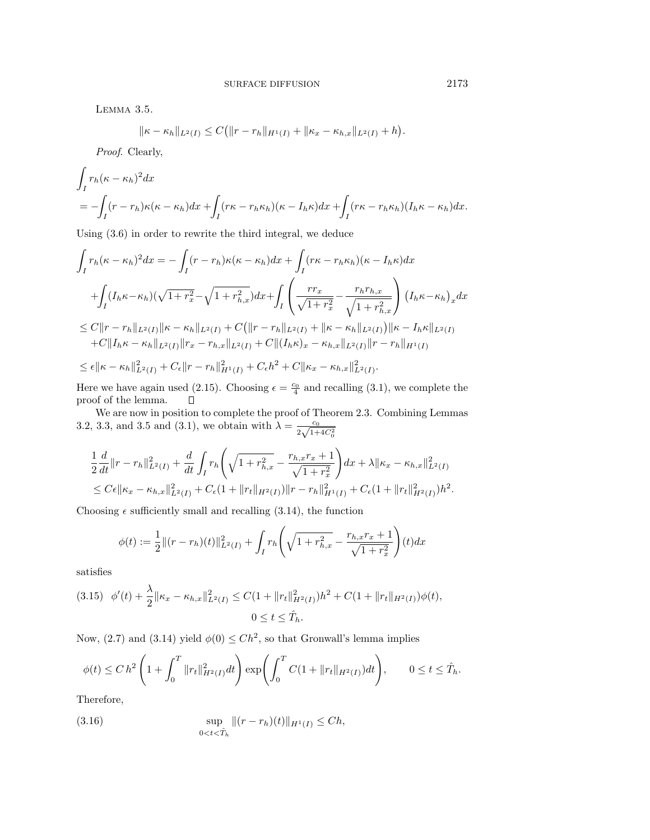Lemma 3.5.

$$
\|\kappa - \kappa_h\|_{L^2(I)} \leq C\big(\|r - r_h\|_{H^1(I)} + \|\kappa_x - \kappa_{h,x}\|_{L^2(I)} + h\big).
$$

Proof. Clearly,

$$
\int_I r_h(\kappa - \kappa_h)^2 dx
$$
  
= 
$$
-\int_I (r - r_h)\kappa(\kappa - \kappa_h)dx + \int_I (r\kappa - r_h\kappa_h)(\kappa - I_h\kappa)dx + \int_I (r\kappa - r_h\kappa_h)(I_h\kappa - \kappa_h)dx.
$$

Using (3.6) in order to rewrite the third integral, we deduce

$$
\int_{I} r_{h}(\kappa - \kappa_{h})^{2} dx = -\int_{I} (r - r_{h})\kappa(\kappa - \kappa_{h}) dx + \int_{I} (r\kappa - r_{h}\kappa_{h})(\kappa - I_{h}\kappa) dx \n+ \int_{I} (I_{h}\kappa - \kappa_{h})(\sqrt{1 + r_{x}^{2}} - \sqrt{1 + r_{h,x}^{2}}) dx + \int_{I} \left( \frac{r r_{x}}{\sqrt{1 + r_{x}^{2}}} - \frac{r_{h} r_{h,x}}{\sqrt{1 + r_{h,x}^{2}}} \right) (I_{h}\kappa - \kappa_{h})_{x} dx \n\leq C ||r - r_{h}||_{L^{2}(I)} ||\kappa - \kappa_{h}||_{L^{2}(I)} + C (||r - r_{h}||_{L^{2}(I)} + ||\kappa - \kappa_{h}||_{L^{2}(I)}) ||\kappa - I_{h}\kappa||_{L^{2}(I)} \n+ C ||I_{h}\kappa - \kappa_{h}||_{L^{2}(I)} ||r_{x} - r_{h,x}||_{L^{2}(I)} + C ||(I_{h}\kappa)_{x} - \kappa_{h,x}||_{L^{2}(I)} ||r - r_{h}||_{H^{1}(I)} \n\leq \epsilon ||\kappa - \kappa_{h}||_{L^{2}(I)}^{2} + C_{\epsilon} ||r - r_{h}||_{H^{1}(I)}^{2} + C_{\epsilon} h^{2} + C ||\kappa_{x} - \kappa_{h,x}||_{L^{2}(I)}^{2}.
$$

Here we have again used (2.15). Choosing  $\epsilon = \frac{c_0}{4}$  and recalling (3.1), we complete the proof of the lemma.

We are now in position to complete the proof of Theorem 2.3. Combining Lemmas 3.2, 3.3, and 3.5 and (3.1), we obtain with  $\lambda = \frac{c_0}{2\sqrt{1+4C_0^2}}$ 

$$
\frac{1}{2}\frac{d}{dt}\|r-r_h\|_{L^2(I)}^2 + \frac{d}{dt}\int_I r_h\left(\sqrt{1+r_{h,x}^2} - \frac{r_{h,x}r_x+1}{\sqrt{1+r_x^2}}\right)dx + \lambda\|\kappa_x - \kappa_{h,x}\|_{L^2(I)}^2
$$
  

$$
\leq C\epsilon\|\kappa_x - \kappa_{h,x}\|_{L^2(I)}^2 + C\epsilon(1+\|r_t\|_{H^2(I)})\|r-r_h\|_{H^1(I)}^2 + C\epsilon(1+\|r_t\|_{H^2(I)})h^2.
$$

Choosing  $\epsilon$  sufficiently small and recalling (3.14), the function

$$
\phi(t) := \frac{1}{2} ||(r - r_h)(t)||_{L^2(I)}^2 + \int_I r_h \left( \sqrt{1 + r_{h,x}^2} - \frac{r_{h,x}r_x + 1}{\sqrt{1 + r_x^2}} \right)(t) dx
$$

satisfies

$$
(3.15) \quad \phi'(t) + \frac{\lambda}{2} \|\kappa_x - \kappa_{h,x}\|_{L^2(I)}^2 \le C(1 + \|r_t\|_{H^2(I)}^2)h^2 + C(1 + \|r_t\|_{H^2(I)})\phi(t),
$$

$$
0 \le t \le \hat{T}_h.
$$

Now, (2.7) and (3.14) yield  $\phi(0) \leq Ch^2$ , so that Gronwall's lemma implies

$$
\phi(t) \le C h^2 \left( 1 + \int_0^T \|r_t\|_{H^2(I)}^2 dt \right) \exp\left( \int_0^T C (1 + \|r_t\|_{H^2(I)}) dt \right), \qquad 0 \le t \le \hat{T}_h.
$$

Therefore,

(3.16) 
$$
\sup_{0 < t < \hat{T}_h} ||(r - r_h)(t)||_{H^1(I)} \leq Ch,
$$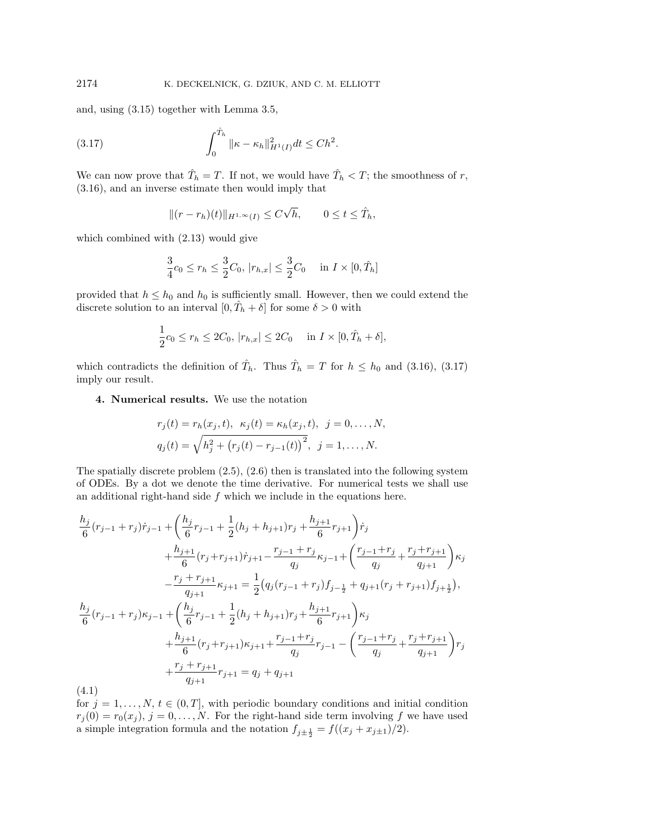and, using (3.15) together with Lemma 3.5,

(3.17) 
$$
\int_0^{\hat{T}_h} ||\kappa - \kappa_h||_{H^1(I)}^2 dt \leq C h^2.
$$

We can now prove that  $\hat{T}_h = T$ . If not, we would have  $\hat{T}_h < T$ ; the smoothness of r, (3.16), and an inverse estimate then would imply that

$$
||(r - r_h)(t)||_{H^{1,\infty}(I)} \le C\sqrt{h}, \qquad 0 \le t \le \hat{T}_h,
$$

which combined with (2.13) would give

$$
\frac{3}{4}c_0 \le r_h \le \frac{3}{2}C_0, |r_{h,x}| \le \frac{3}{2}C_0 \quad \text{in } I \times [0, \hat{T}_h]
$$

provided that  $h \leq h_0$  and  $h_0$  is sufficiently small. However, then we could extend the discrete solution to an interval  $[0, \hat{T}_h + \delta]$  for some  $\delta > 0$  with

$$
\frac{1}{2}c_0 \le r_h \le 2C_0, |r_{h,x}| \le 2C_0 \quad \text{in } I \times [0, \hat{T}_h + \delta],
$$

which contradicts the definition of  $\hat{T}_h$ . Thus  $\hat{T}_h = T$  for  $h \leq h_0$  and (3.16), (3.17) imply our result.

## **4. Numerical results.** We use the notation

$$
r_j(t) = r_h(x_j, t), \ \kappa_j(t) = \kappa_h(x_j, t), \ \ j = 0, \dots, N,
$$
  

$$
q_j(t) = \sqrt{h_j^2 + (r_j(t) - r_{j-1}(t))^2}, \ \ j = 1, \dots, N.
$$

The spatially discrete problem  $(2.5)$ ,  $(2.6)$  then is translated into the following system of ODEs. By a dot we denote the time derivative. For numerical tests we shall use an additional right-hand side  $f$  which we include in the equations here.

$$
\frac{h_j}{6}(r_{j-1}+r_j)\dot{r}_{j-1} + \left(\frac{h_j}{6}r_{j-1} + \frac{1}{2}(h_j + h_{j+1})r_j + \frac{h_{j+1}}{6}r_{j+1}\right)\dot{r}_j \n+ \frac{h_{j+1}}{6}(r_j + r_{j+1})\dot{r}_{j+1} - \frac{r_{j-1} + r_j}{q_j}\kappa_{j-1} + \left(\frac{r_{j-1} + r_j}{q_j} + \frac{r_j + r_{j+1}}{q_{j+1}}\right)\kappa_j \n- \frac{r_j + r_{j+1}}{q_{j+1}}\kappa_{j+1} = \frac{1}{2}\left(q_j(r_{j-1} + r_j)f_{j-\frac{1}{2}} + q_{j+1}(r_j + r_{j+1})f_{j+\frac{1}{2}}\right), \n\frac{h_j}{6}(r_{j-1} + r_j)\kappa_{j-1} + \left(\frac{h_j}{6}r_{j-1} + \frac{1}{2}(h_j + h_{j+1})r_j + \frac{h_{j+1}}{6}r_{j+1}\right)\kappa_j \n+ \frac{h_{j+1}}{6}(r_j + r_{j+1})\kappa_{j+1} + \frac{r_{j-1} + r_j}{q_j}r_{j-1} - \left(\frac{r_{j-1} + r_j}{q_j} + \frac{r_j + r_{j+1}}{q_{j+1}}\right)r_j \n+ \frac{r_j + r_{j+1}}{q_{j+1}}r_{j+1} = q_j + q_{j+1}
$$
\n(4.1)

for  $j = 1, \ldots, N, t \in (0, T]$ , with periodic boundary conditions and initial condition  $r_j(0) = r_0(x_j)$ ,  $j = 0, \ldots, N$ . For the right-hand side term involving f we have used a simple integration formula and the notation  $f_{j\pm \frac{1}{2}} = f((x_j + x_{j\pm 1})/2)$ .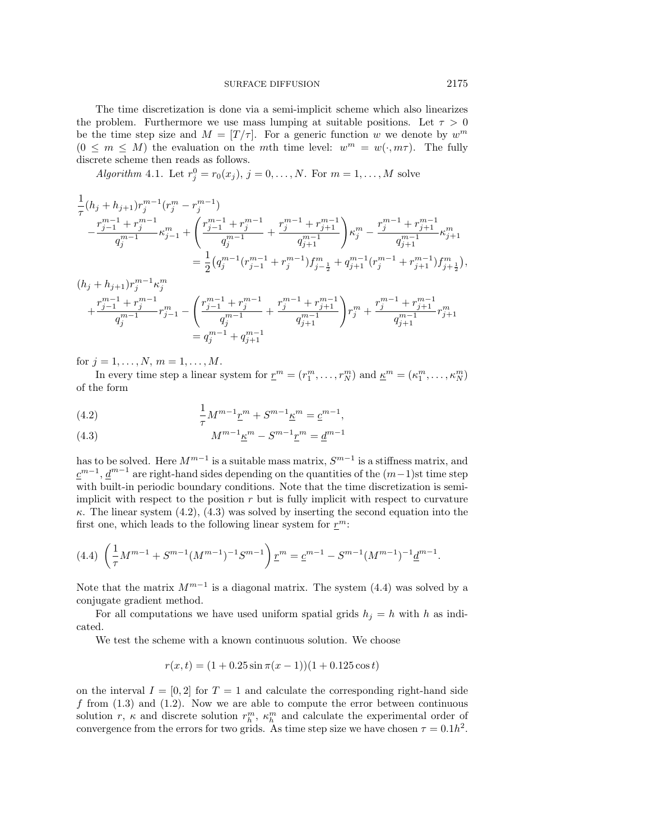The time discretization is done via a semi-implicit scheme which also linearizes the problem. Furthermore we use mass lumping at suitable positions. Let  $\tau > 0$ be the time step size and  $M = [T/\tau]$ . For a generic function w we denote by  $w^m$  $(0 \leq m \leq M)$  the evaluation on the mth time level:  $w^m = w(\cdot, m\tau)$ . The fully discrete scheme then reads as follows.

*Algorithm* 4.1. Let  $r_j^0 = r_0(x_j)$ ,  $j = 0, ..., N$ . For  $m = 1, ..., M$  solve

$$
\begin{split} &\frac{1}{\tau}(h_j+h_{j+1})r_j^{m-1}(r_j^m-r_j^{m-1})\\ &-\frac{r_{j-1}^{m-1}+r_j^{m-1}}{q_j^{m-1}}\kappa_{j-1}^m+\left(\frac{r_{j-1}^{m-1}+r_j^{m-1}}{q_j^{m-1}}+\frac{r_j^{m-1}+r_{j+1}^{m-1}}{q_{j+1}^{m-1}}\right)\kappa_j^m-\frac{r_j^{m-1}+r_{j+1}^{m-1}}{q_{j+1}^{m-1}}\kappa_{j+1}^m\\ &=\frac{1}{2}\big(q_j^{m-1}(r_{j-1}^{m-1}+r_j^{m-1})f_{j-\frac{1}{2}}^m+q_{j+1}^{m-1}(r_j^{m-1}+r_{j+1}^{m-1})f_{j+\frac{1}{2}}^m\big), \end{split}
$$

$$
(h_j + h_{j+1})r_j^{m-1} \kappa_j^m
$$
  
+ 
$$
\frac{r_{j-1}^{m-1} + r_j^{m-1}}{q_j^{m-1}} r_{j-1}^m - \left( \frac{r_{j-1}^{m-1} + r_j^{m-1}}{q_j^{m-1}} + \frac{r_j^{m-1} + r_{j+1}^{m-1}}{q_{j+1}^{m-1}} \right) r_j^m + \frac{r_j^{m-1} + r_{j+1}^{m-1}}{q_{j+1}^{m-1}} r_{j+1}^m
$$
  
= 
$$
q_j^{m-1} + q_{j+1}^{m-1}
$$

for  $j = 1, ..., N, m = 1, ..., M$ .

In every time step a linear system for  $\underline{r}^m = (r_1^m, \ldots, r_N^m)$  and  $\underline{\kappa}^m = (\kappa_1^m, \ldots, \kappa_N^m)$ of the form

(4.2) 
$$
\frac{1}{\tau}M^{m-1}\underline{r}^m + S^{m-1}\underline{\kappa}^m = \underline{c}^{m-1},
$$

(4.3) 
$$
M^{m-1} \underline{\kappa}^m - S^{m-1} \underline{r}^m = \underline{d}^{m-1}
$$

has to be solved. Here  $M^{m-1}$  is a suitable mass matrix,  $S^{m-1}$  is a stiffness matrix, and  $c^{m-1}$ ,  $d^{m-1}$  are right-hand sides depending on the quantities of the  $(m-1)$ st time step with built-in periodic boundary conditions. Note that the time discretization is semiimplicit with respect to the position  $r$  but is fully implicit with respect to curvature  $\kappa$ . The linear system (4.2), (4.3) was solved by inserting the second equation into the first one, which leads to the following linear system for  $r^m$ :

$$
(4.4)\ \left(\frac{1}{\tau}M^{m-1} + S^{m-1}(M^{m-1})^{-1}S^{m-1}\right)\underline{r}^m = \underline{c}^{m-1} - S^{m-1}(M^{m-1})^{-1}\underline{d}^{m-1}.
$$

Note that the matrix  $M^{m-1}$  is a diagonal matrix. The system (4.4) was solved by a conjugate gradient method.

For all computations we have used uniform spatial grids  $h_i = h$  with h as indicated.

We test the scheme with a known continuous solution. We choose

$$
r(x,t) = (1 + 0.25\sin\pi(x - 1))(1 + 0.125\cos t)
$$

on the interval  $I = [0, 2]$  for  $T = 1$  and calculate the corresponding right-hand side f from  $(1.3)$  and  $(1.2)$ . Now we are able to compute the error between continuous solution r,  $\kappa$  and discrete solution  $r_h^m$ ,  $\kappa_h^m$  and calculate the experimental order of convergence from the errors for two grids. As time step size we have chosen  $\tau = 0.1h^2$ .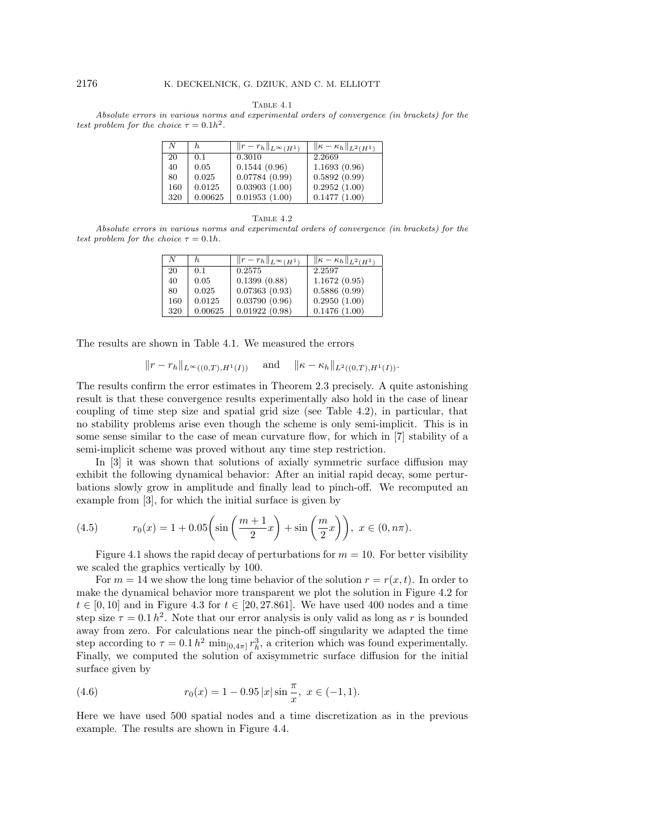Table 4.1

Absolute errors in various norms and experimental orders of convergence (in brackets) for the test problem for the choice  $\tau = 0.1h^2$ .

| N   | h.      | $  r-r_h  _{L^{\infty}(H^1)}$ | $\ \overline{\kappa-\kappa_h}\ _{L^2(H^1)}$ |
|-----|---------|-------------------------------|---------------------------------------------|
| 20  | 0.1     | 0.3010                        | 2.2669                                      |
| 40  | 0.05    | 0.1544(0.96)                  | 1.1693(0.96)                                |
| 80  | 0.025   | 0.07784(0.99)                 | 0.5892(0.99)                                |
| 160 | 0.0125  | 0.03903(1.00)                 | 0.2952(1.00)                                |
| 320 | 0.00625 | 0.01953(1.00)                 | 0.1477(1.00)                                |

TABLE  $4.2$ 

Absolute errors in various norms and experimental orders of convergence (in brackets) for the test problem for the choice  $\tau = 0.1h$ .

| N   | h.      | $  r-r_h  _{L^{\infty}(H^1)}$ | $\ \kappa-\kappa_h\ _{L^2(H^1)}$ |
|-----|---------|-------------------------------|----------------------------------|
| 20  | 0.1     | 0.2575                        | 2.2597                           |
| 40  | 0.05    | 0.1399(0.88)                  | 1.1672(0.95)                     |
| 80  | 0.025   | 0.07363(0.93)                 | 0.5886(0.99)                     |
| 160 | 0.0125  | 0.03790(0.96)                 | 0.2950(1.00)                     |
| 320 | 0.00625 | 0.01922(0.98)                 | 0.1476(1.00)                     |

The results are shown in Table 4.1. We measured the errors

$$
||r - r_h||_{L^{\infty}((0,T),H^1(I))}
$$
 and  $||\kappa - \kappa_h||_{L^2((0,T),H^1(I))}$ .

The results confirm the error estimates in Theorem 2.3 precisely. A quite astonishing result is that these convergence results experimentally also hold in the case of linear coupling of time step size and spatial grid size (see Table 4.2), in particular, that no stability problems arise even though the scheme is only semi-implicit. This is in some sense similar to the case of mean curvature flow, for which in [7] stability of a semi-implicit scheme was proved without any time step restriction.

In [3] it was shown that solutions of axially symmetric surface diffusion may exhibit the following dynamical behavior: After an initial rapid decay, some perturbations slowly grow in amplitude and finally lead to pinch-off. We recomputed an example from [3], for which the initial surface is given by

(4.5) 
$$
r_0(x) = 1 + 0.05 \left( \sin \left( \frac{m+1}{2} x \right) + \sin \left( \frac{m}{2} x \right) \right), \ x \in (0, n\pi).
$$

Figure 4.1 shows the rapid decay of perturbations for  $m = 10$ . For better visibility we scaled the graphics vertically by 100.

For  $m = 14$  we show the long time behavior of the solution  $r = r(x, t)$ . In order to make the dynamical behavior more transparent we plot the solution in Figure 4.2 for  $t \in [0, 10]$  and in Figure 4.3 for  $t \in [20, 27.861]$ . We have used 400 nodes and a time step size  $\tau = 0.1 h^2$ . Note that our error analysis is only valid as long as r is bounded away from zero. For calculations near the pinch-off singularity we adapted the time step according to  $\tau = 0.1 h^2 \min_{[0,4\pi]} r_h^3$ , a criterion which was found experimentally. Finally, we computed the solution of axisymmetric surface diffusion for the initial surface given by

(4.6) 
$$
r_0(x) = 1 - 0.95 |x| \sin \frac{\pi}{x}, \ x \in (-1, 1).
$$

Here we have used 500 spatial nodes and a time discretization as in the previous example. The results are shown in Figure 4.4.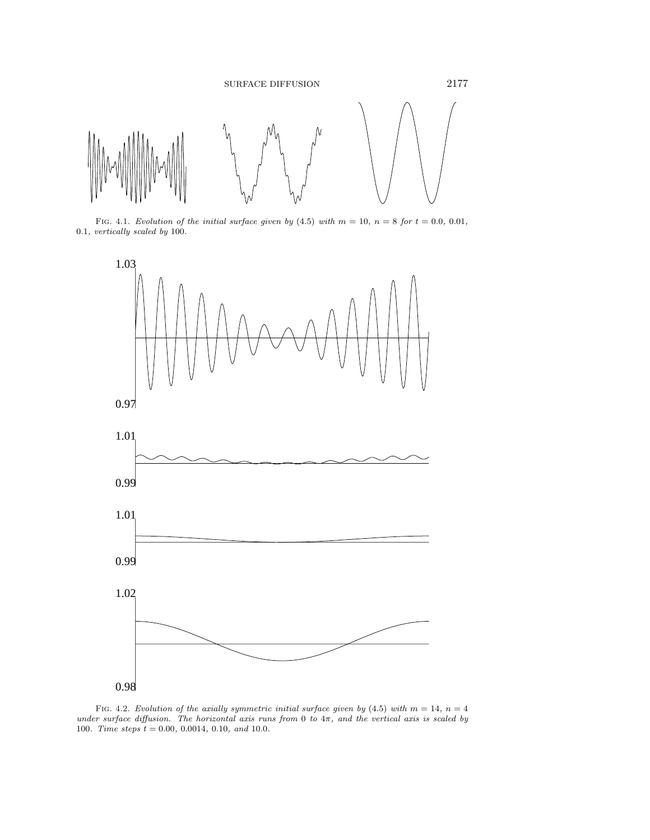

FIG. 4.1. Evolution of the initial surface given by  $(4.5)$  with  $m = 10$ ,  $n = 8$  for  $t = 0.0$ , 0.01, 0.1, vertically scaled by 100.



FIG. 4.2. Evolution of the axially symmetric initial surface given by (4.5) with  $m = 14$ ,  $n = 4$ under surface diffusion. The horizontal axis runs from 0 to  $4\pi$ , and the vertical axis is scaled by 100. Time steps  $t = 0.00, 0.0014, 0.10,$  and 10.0.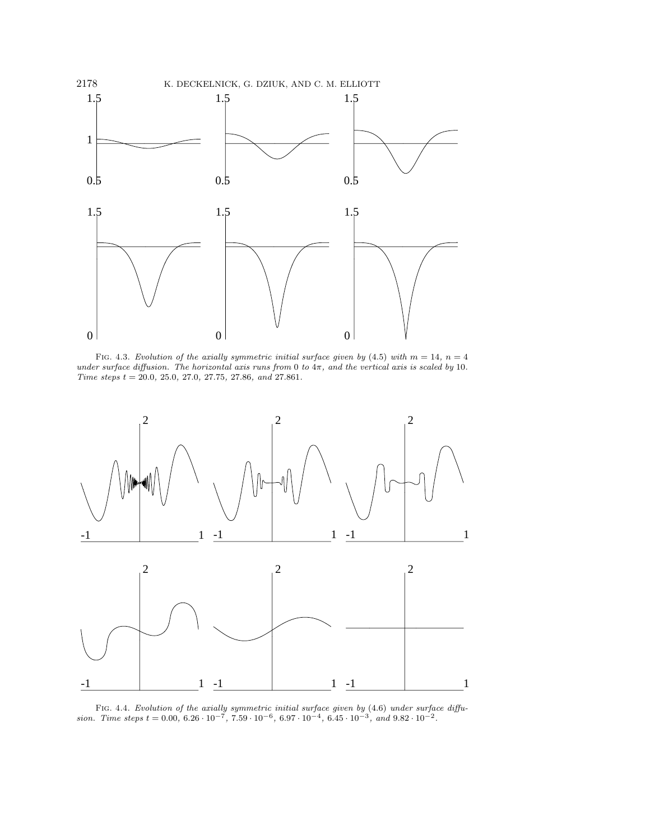

FIG. 4.3. Evolution of the axially symmetric initial surface given by (4.5) with  $m = 14$ ,  $n = 4$ under surface diffusion. The horizontal axis runs from 0 to  $4\pi$ , and the vertical axis is scaled by 10.  $Time\ steps\ t=20.0,\ 25.0,\ 27.0,\ 27.75,\ 27.86,\ and\ 27.861.$ 



FIG. 4.4. Evolution of the axially symmetric initial surface given by (4.6) under surface diffusion. Time steps  $t = 0.00, 6.26 \cdot 10^{-7}, 7.59 \cdot 10^{-6}, 6.97 \cdot 10^{-4}, 6.45 \cdot 10^{-3}, and 9.82 \cdot 10^{-2}$ .